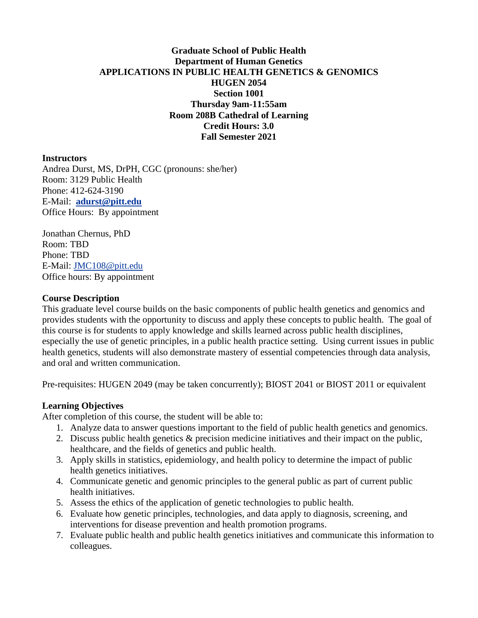# **Graduate School of Public Health Department of Human Genetics APPLICATIONS IN PUBLIC HEALTH GENETICS & GENOMICS HUGEN 2054 Section 1001 Thursday 9am-11:55am Room 208B Cathedral of Learning Credit Hours: 3.0 Fall Semester 2021**

#### **Instructors**

Andrea Durst, MS, DrPH, CGC (pronouns: she/her) Room: 3129 Public Health Phone: 412-624-3190 E-Mail: **[adurst@pitt.edu](mailto:adurst@pitt.edu)** Office Hours: By appointment

Jonathan Chernus, PhD Room: TBD Phone: TBD E-Mail: [JMC108@pitt.edu](mailto:JMC108@pitt.edu) Office hours: By appointment

#### **Course Description**

This graduate level course builds on the basic components of public health genetics and genomics and provides students with the opportunity to discuss and apply these concepts to public health. The goal of this course is for students to apply knowledge and skills learned across public health disciplines, especially the use of genetic principles, in a public health practice setting. Using current issues in public health genetics, students will also demonstrate mastery of essential competencies through data analysis, and oral and written communication.

Pre-requisites: HUGEN 2049 (may be taken concurrently); BIOST 2041 or BIOST 2011 or equivalent

#### **Learning Objectives**

After completion of this course, the student will be able to:

- 1. Analyze data to answer questions important to the field of public health genetics and genomics.
- 2. Discuss public health genetics & precision medicine initiatives and their impact on the public, healthcare, and the fields of genetics and public health.
- 3. Apply skills in statistics, epidemiology, and health policy to determine the impact of public health genetics initiatives.
- 4. Communicate genetic and genomic principles to the general public as part of current public health initiatives.
- 5. Assess the ethics of the application of genetic technologies to public health.
- 6. Evaluate how genetic principles, technologies, and data apply to diagnosis, screening, and interventions for disease prevention and health promotion programs.
- 7. Evaluate public health and public health genetics initiatives and communicate this information to colleagues.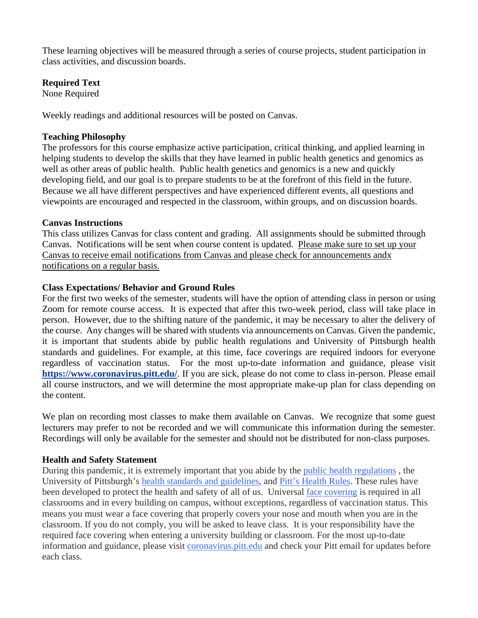These learning objectives will be measured through a series of course projects, student participation in class activities, and discussion boards.

## **Required Text**

None Required

Weekly readings and additional resources will be posted on Canvas.

## **Teaching Philosophy**

The professors for this course emphasize active participation, critical thinking, and applied learning in helping students to develop the skills that they have learned in public health genetics and genomics as well as other areas of public health. Public health genetics and genomics is a new and quickly developing field, and our goal is to prepare students to be at the forefront of this field in the future. Because we all have different perspectives and have experienced different events, all questions and viewpoints are encouraged and respected in the classroom, within groups, and on discussion boards.

## **Canvas Instructions**

This class utilizes Canvas for class content and grading. All assignments should be submitted through Canvas. Notifications will be sent when course content is updated. Please make sure to set up your Canvas to receive email notifications from Canvas and please check for announcements andx notifications on a regular basis.

## **Class Expectations/ Behavior and Ground Rules**

For the first two weeks of the semester, students will have the option of attending class in person or using Zoom for remote course access. It is expected that after this two-week period, class will take place in person. However, due to the shifting nature of the pandemic, it may be necessary to alter the delivery of the course. Any changes will be shared with students via announcements on Canvas. Given the pandemic, it is important that students abide by public health regulations and University of Pittsburgh health standards and guidelines. For example, at this time, face coverings are required indoors for everyone regardless of vaccination status. For the most up-to-date information and guidance, please visit **<https://www.coronavirus.pitt.edu/>**. If you are sick, please do not come to class in-person. Please email all course instructors, and we will determine the most appropriate make-up plan for class depending on the content.

We plan on recording most classes to make them available on Canvas. We recognize that some guest lecturers may prefer to not be recorded and we will communicate this information during the semester. Recordings will only be available for the semester and should not be distributed for non-class purposes.

# **Health and Safety Statement**

During this pandemic, it is extremely important that you abide by the [public health regulations](https://www.alleghenycounty.us/Health-Department/Resources/COVID-19/COVID-19.aspx) , the University of Pittsburgh's [health standards and guidelines,](https://www.policy.pitt.edu/university-policies-and-procedures/covid-19-standards-and-guidelines) and [Pitt's Health Rules.](https://www.coronavirus.pitt.edu/healthy-community/pitts-health-rules) These rules have been developed to protect the health and safety of all of us. Universal [face covering](https://www.coronavirus.pitt.edu/frequently-asked-questions-about-face-coverings) is required in all classrooms and in every building on campus, without exceptions, regardless of vaccination status. This means you must wear a face covering that properly covers your nose and mouth when you are in the classroom. If you do not comply, you will be asked to leave class. It is your responsibility have the required face covering when entering a university building or classroom. For the most up-to-date information and guidance, please visit [coronavirus.pitt.edu](http://coronavirus.pitt.edu/) and check your Pitt email for updates before each class.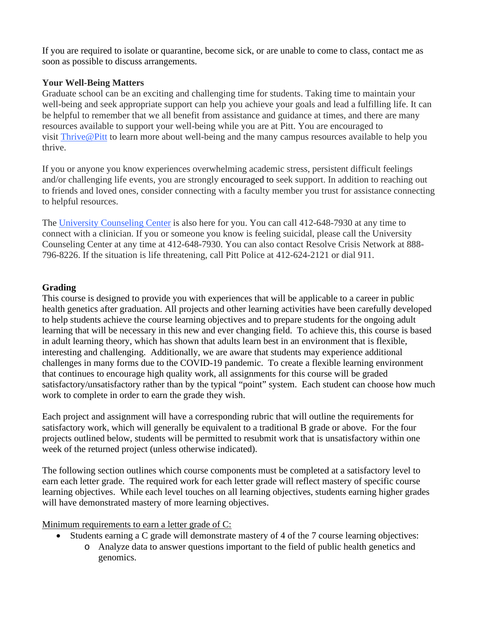If you are required to isolate or quarantine, become sick, or are unable to come to class, contact me as soon as possible to discuss arrangements.

# **Your Well-Being Matters**

Graduate school can be an exciting and challenging time for students. Taking time to maintain your well-being and seek appropriate support can help you achieve your goals and lead a fulfilling life. It can be helpful to remember that we all benefit from assistance and guidance at times, and there are many resources available to support your well-being while you are at Pitt. You are encouraged to visit [Thrive@Pitt](https://dc770634-bbcf-4124-8102-47774a4cca91/thrive.pitt.edu) to learn more about well-being and the many campus resources available to help you thrive.

If you or anyone you know experiences overwhelming academic stress, persistent difficult feelings and/or challenging life events, you are strongly encouraged to seek support. In addition to reaching out to friends and loved ones, consider connecting with a faculty member you trust for assistance connecting to helpful resources.

The University [Counseling](http://www.counseling.pitt.edu/) Center is also here for you. You can call 412-648-7930 at any time to connect with a clinician. If you or someone you know is feeling suicidal, please call the University Counseling Center at any time at 412-648-7930. You can also contact Resolve Crisis Network at 888- 796-8226. If the situation is life threatening, call Pitt Police at 412-624-2121 or dial 911.

# **Grading**

This course is designed to provide you with experiences that will be applicable to a career in public health genetics after graduation. All projects and other learning activities have been carefully developed to help students achieve the course learning objectives and to prepare students for the ongoing adult learning that will be necessary in this new and ever changing field. To achieve this, this course is based in adult learning theory, which has shown that adults learn best in an environment that is flexible, interesting and challenging. Additionally, we are aware that students may experience additional challenges in many forms due to the COVID-19 pandemic. To create a flexible learning environment that continues to encourage high quality work, all assignments for this course will be graded satisfactory/unsatisfactory rather than by the typical "point" system. Each student can choose how much work to complete in order to earn the grade they wish.

Each project and assignment will have a corresponding rubric that will outline the requirements for satisfactory work, which will generally be equivalent to a traditional B grade or above. For the four projects outlined below, students will be permitted to resubmit work that is unsatisfactory within one week of the returned project (unless otherwise indicated).

The following section outlines which course components must be completed at a satisfactory level to earn each letter grade. The required work for each letter grade will reflect mastery of specific course learning objectives. While each level touches on all learning objectives, students earning higher grades will have demonstrated mastery of more learning objectives.

Minimum requirements to earn a letter grade of C:

- Students earning a C grade will demonstrate mastery of 4 of the 7 course learning objectives:
	- o Analyze data to answer questions important to the field of public health genetics and genomics.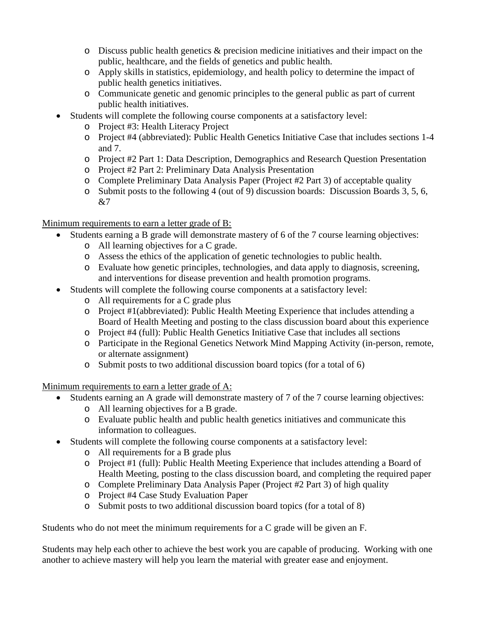- $\circ$  Discuss public health genetics & precision medicine initiatives and their impact on the public, healthcare, and the fields of genetics and public health.
- o Apply skills in statistics, epidemiology, and health policy to determine the impact of public health genetics initiatives.
- o Communicate genetic and genomic principles to the general public as part of current public health initiatives.
- Students will complete the following course components at a satisfactory level:
	- o Project #3: Health Literacy Project
	- o Project #4 (abbreviated): Public Health Genetics Initiative Case that includes sections 1-4 and 7.
	- o Project #2 Part 1: Data Description, Demographics and Research Question Presentation
	- o Project #2 Part 2: Preliminary Data Analysis Presentation
	- o Complete Preliminary Data Analysis Paper (Project #2 Part 3) of acceptable quality
	- o Submit posts to the following 4 (out of 9) discussion boards: Discussion Boards 3, 5, 6, &7

# Minimum requirements to earn a letter grade of B:

- Students earning a B grade will demonstrate mastery of 6 of the 7 course learning objectives:
	- o All learning objectives for a C grade.
	- o Assess the ethics of the application of genetic technologies to public health.
	- o Evaluate how genetic principles, technologies, and data apply to diagnosis, screening, and interventions for disease prevention and health promotion programs.
- Students will complete the following course components at a satisfactory level:
	- o All requirements for a C grade plus
	- o Project #1(abbreviated): Public Health Meeting Experience that includes attending a Board of Health Meeting and posting to the class discussion board about this experience
	- o Project #4 (full): Public Health Genetics Initiative Case that includes all sections
	- o Participate in the Regional Genetics Network Mind Mapping Activity (in-person, remote, or alternate assignment)
	- o Submit posts to two additional discussion board topics (for a total of 6)

Minimum requirements to earn a letter grade of A:

- Students earning an A grade will demonstrate mastery of 7 of the 7 course learning objectives:
	- o All learning objectives for a B grade.
	- o Evaluate public health and public health genetics initiatives and communicate this information to colleagues.
- Students will complete the following course components at a satisfactory level:
	- o All requirements for a B grade plus
	- o Project #1 (full): Public Health Meeting Experience that includes attending a Board of Health Meeting, posting to the class discussion board, and completing the required paper
	- o Complete Preliminary Data Analysis Paper (Project #2 Part 3) of high quality
	- o Project #4 Case Study Evaluation Paper
	- o Submit posts to two additional discussion board topics (for a total of 8)

Students who do not meet the minimum requirements for a C grade will be given an F.

Students may help each other to achieve the best work you are capable of producing. Working with one another to achieve mastery will help you learn the material with greater ease and enjoyment.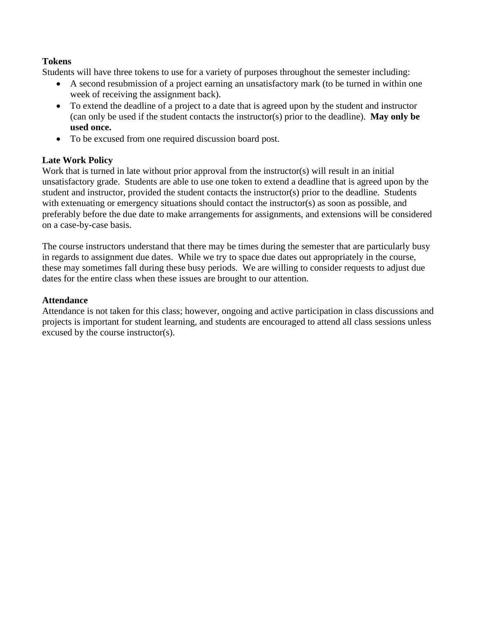# **Tokens**

Students will have three tokens to use for a variety of purposes throughout the semester including:

- A second resubmission of a project earning an unsatisfactory mark (to be turned in within one week of receiving the assignment back).
- To extend the deadline of a project to a date that is agreed upon by the student and instructor (can only be used if the student contacts the instructor(s) prior to the deadline). **May only be used once.**
- To be excused from one required discussion board post.

## **Late Work Policy**

Work that is turned in late without prior approval from the instructor(s) will result in an initial unsatisfactory grade. Students are able to use one token to extend a deadline that is agreed upon by the student and instructor, provided the student contacts the instructor(s) prior to the deadline. Students with extenuating or emergency situations should contact the instructor(s) as soon as possible, and preferably before the due date to make arrangements for assignments, and extensions will be considered on a case-by-case basis.

The course instructors understand that there may be times during the semester that are particularly busy in regards to assignment due dates. While we try to space due dates out appropriately in the course, these may sometimes fall during these busy periods. We are willing to consider requests to adjust due dates for the entire class when these issues are brought to our attention.

## **Attendance**

Attendance is not taken for this class; however, ongoing and active participation in class discussions and projects is important for student learning, and students are encouraged to attend all class sessions unless excused by the course instructor(s).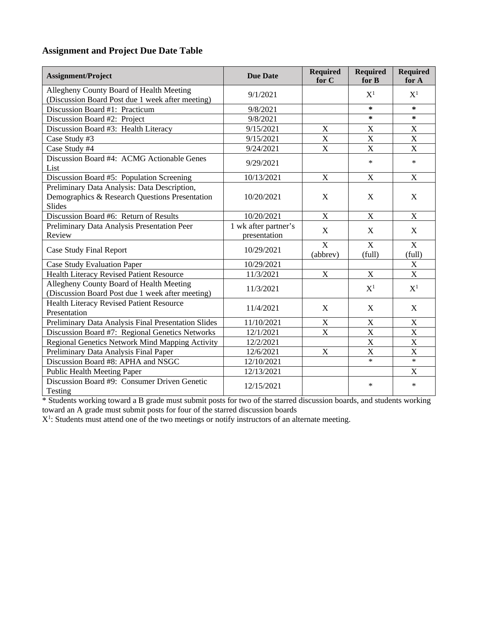# **Assignment and Project Due Date Table**

| <b>Assignment/Project</b>                                                                                       | <b>Due Date</b>                      | <b>Required</b><br>for C            | <b>Required</b><br>for B | <b>Required</b><br>for A  |
|-----------------------------------------------------------------------------------------------------------------|--------------------------------------|-------------------------------------|--------------------------|---------------------------|
| Allegheny County Board of Health Meeting<br>(Discussion Board Post due 1 week after meeting)                    | 9/1/2021                             |                                     | $X^1$                    | $X^1$                     |
| Discussion Board #1: Practicum                                                                                  | 9/8/2021                             |                                     | *                        | $\ast$                    |
| Discussion Board #2: Project                                                                                    | 9/8/2021                             |                                     | ∗                        | *                         |
| Discussion Board #3: Health Literacy                                                                            | 9/15/2021                            | X                                   | X                        | $\boldsymbol{X}$          |
| Case Study #3                                                                                                   | 9/15/2021                            | $\mathbf X$                         | $\mathbf X$              | $\mathbf X$               |
| Case Study #4                                                                                                   | 9/24/2021                            | $\overline{\mathrm{X}}$             | X                        | X                         |
| Discussion Board #4: ACMG Actionable Genes<br>List                                                              | 9/29/2021                            |                                     | $\star$                  | $\star$                   |
| Discussion Board #5: Population Screening                                                                       | 10/13/2021                           | $\mathbf X$                         | $\mathbf X$              | X                         |
| Preliminary Data Analysis: Data Description,<br>Demographics & Research Questions Presentation<br><b>Slides</b> | 10/20/2021                           | $\mathbf X$                         | X                        | X                         |
| Discussion Board #6: Return of Results                                                                          | 10/20/2021                           | $\mathbf X$                         | X                        | $\mathbf X$               |
| Preliminary Data Analysis Presentation Peer<br>Review                                                           | 1 wk after partner's<br>presentation | X                                   | X                        | X                         |
| <b>Case Study Final Report</b>                                                                                  | 10/29/2021                           | $\overline{\mathbf{X}}$<br>(abbrev) | X<br>(full)              | $\mathbf X$<br>(full)     |
| <b>Case Study Evaluation Paper</b>                                                                              | 10/29/2021                           |                                     |                          | $\mathbf X$               |
| <b>Health Literacy Revised Patient Resource</b>                                                                 | 11/3/2021                            | $\mathbf X$                         | X                        | $\overline{X}$            |
| Allegheny County Board of Health Meeting<br>(Discussion Board Post due 1 week after meeting)                    | 11/3/2021                            |                                     | $X^1$                    | $X^1$                     |
| <b>Health Literacy Revised Patient Resource</b><br>Presentation                                                 | 11/4/2021                            | X                                   | X                        | X                         |
| Preliminary Data Analysis Final Presentation Slides                                                             | 11/10/2021                           | X                                   | $\boldsymbol{X}$         | X                         |
| Discussion Board #7: Regional Genetics Networks                                                                 | 12/1/2021                            | $\mathbf X$                         | X                        | $\overline{X}$            |
| Regional Genetics Network Mind Mapping Activity                                                                 | 12/2/2021                            |                                     | X                        | $\mathbf X$               |
| Preliminary Data Analysis Final Paper                                                                           | 12/6/2021                            | $\mathbf X$                         | X                        | X                         |
| Discussion Board #8: APHA and NSGC                                                                              | 12/10/2021                           |                                     | $\ast$                   | $\ast$                    |
| <b>Public Health Meeting Paper</b>                                                                              | 12/13/2021                           |                                     |                          | $\boldsymbol{\mathrm{X}}$ |
| Discussion Board #9: Consumer Driven Genetic<br>Testing                                                         | 12/15/2021                           |                                     | $\ast$                   | $\ast$                    |

\* Students working toward a B grade must submit posts for two of the starred discussion boards, and students working toward an A grade must submit posts for four of the starred discussion boards

 $X<sup>1</sup>$ : Students must attend one of the two meetings or notify instructors of an alternate meeting.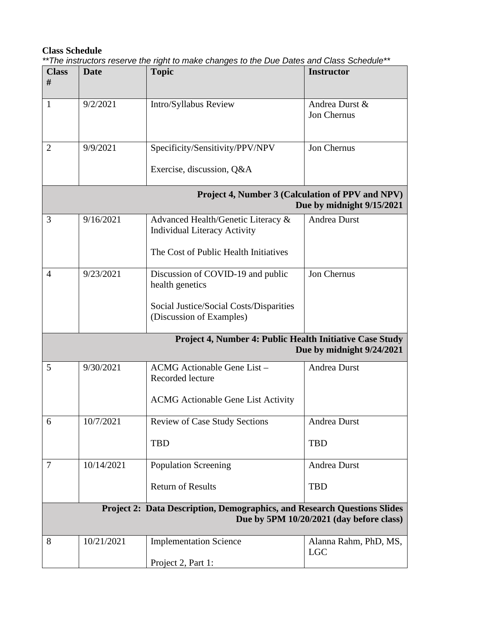# **Class Schedule**

*\*\*The instructors reserve the right to make changes to the Due Dates and Class Schedule\*\**

| <b>Class</b><br>#                                                                                                           | <b>Date</b> | <b>Topic</b>                                                                                                       | <b>Instructor</b>                   |  |  |
|-----------------------------------------------------------------------------------------------------------------------------|-------------|--------------------------------------------------------------------------------------------------------------------|-------------------------------------|--|--|
|                                                                                                                             |             |                                                                                                                    |                                     |  |  |
| 1                                                                                                                           | 9/2/2021    | Intro/Syllabus Review                                                                                              | Andrea Durst &<br>Jon Chernus       |  |  |
| $\overline{2}$                                                                                                              | 9/9/2021    | Specificity/Sensitivity/PPV/NPV                                                                                    | Jon Chernus                         |  |  |
|                                                                                                                             |             | Exercise, discussion, Q&A                                                                                          |                                     |  |  |
| Project 4, Number 3 (Calculation of PPV and NPV)<br>Due by midnight 9/15/2021                                               |             |                                                                                                                    |                                     |  |  |
| 3                                                                                                                           | 9/16/2021   | Advanced Health/Genetic Literacy &<br><b>Individual Literacy Activity</b><br>The Cost of Public Health Initiatives | <b>Andrea Durst</b>                 |  |  |
|                                                                                                                             |             |                                                                                                                    |                                     |  |  |
| $\overline{A}$                                                                                                              | 9/23/2021   | Discussion of COVID-19 and public<br>health genetics                                                               | Jon Chernus                         |  |  |
|                                                                                                                             |             | Social Justice/Social Costs/Disparities<br>(Discussion of Examples)                                                |                                     |  |  |
| Project 4, Number 4: Public Health Initiative Case Study<br>Due by midnight 9/24/2021                                       |             |                                                                                                                    |                                     |  |  |
| 5                                                                                                                           | 9/30/2021   | ACMG Actionable Gene List-<br>Recorded lecture                                                                     | Andrea Durst                        |  |  |
|                                                                                                                             |             | <b>ACMG</b> Actionable Gene List Activity                                                                          |                                     |  |  |
| 6                                                                                                                           | 10/7/2021   | <b>Review of Case Study Sections</b>                                                                               | Andrea Durst                        |  |  |
|                                                                                                                             |             | <b>TBD</b>                                                                                                         | <b>TBD</b>                          |  |  |
| 7                                                                                                                           | 10/14/2021  | <b>Population Screening</b>                                                                                        | <b>Andrea Durst</b>                 |  |  |
|                                                                                                                             |             | <b>Return of Results</b>                                                                                           | <b>TBD</b>                          |  |  |
| <b>Project 2: Data Description, Demographics, and Research Questions Slides</b><br>Due by 5PM 10/20/2021 (day before class) |             |                                                                                                                    |                                     |  |  |
| 8                                                                                                                           | 10/21/2021  | <b>Implementation Science</b>                                                                                      | Alanna Rahm, PhD, MS,<br><b>LGC</b> |  |  |
|                                                                                                                             |             | Project 2, Part 1:                                                                                                 |                                     |  |  |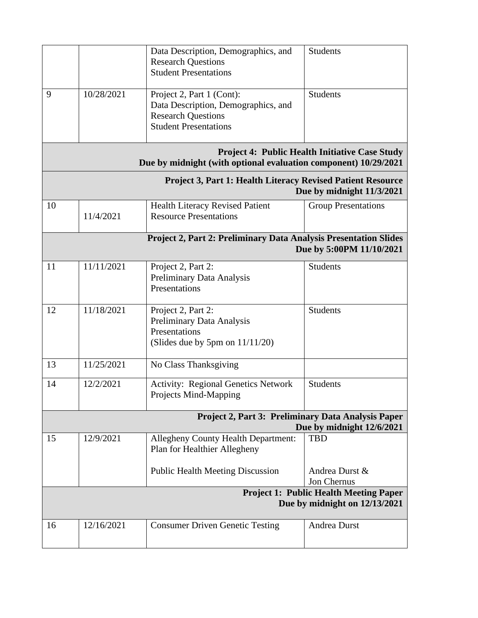|                                                                                                                          |            | Data Description, Demographics, and<br><b>Research Questions</b><br><b>Student Presentations</b>                              | <b>Students</b>               |  |  |
|--------------------------------------------------------------------------------------------------------------------------|------------|-------------------------------------------------------------------------------------------------------------------------------|-------------------------------|--|--|
| 9                                                                                                                        | 10/28/2021 | Project 2, Part 1 (Cont):<br>Data Description, Demographics, and<br><b>Research Questions</b><br><b>Student Presentations</b> | <b>Students</b>               |  |  |
| <b>Project 4: Public Health Initiative Case Study</b><br>Due by midnight (with optional evaluation component) 10/29/2021 |            |                                                                                                                               |                               |  |  |
| <b>Project 3, Part 1: Health Literacy Revised Patient Resource</b><br>Due by midnight 11/3/2021                          |            |                                                                                                                               |                               |  |  |
| 10                                                                                                                       | 11/4/2021  | <b>Health Literacy Revised Patient</b><br><b>Resource Presentations</b>                                                       | <b>Group Presentations</b>    |  |  |
| Project 2, Part 2: Preliminary Data Analysis Presentation Slides<br>Due by 5:00PM 11/10/2021                             |            |                                                                                                                               |                               |  |  |
| 11                                                                                                                       | 11/11/2021 | Project 2, Part 2:<br>Preliminary Data Analysis<br>Presentations                                                              | <b>Students</b>               |  |  |
| 12                                                                                                                       | 11/18/2021 | Project 2, Part 2:<br>Preliminary Data Analysis<br>Presentations<br>(Slides due by 5pm on $11/11/20$ )                        | <b>Students</b>               |  |  |
| 13                                                                                                                       | 11/25/2021 | No Class Thanksgiving                                                                                                         |                               |  |  |
| 14                                                                                                                       | 12/2/2021  | <b>Activity: Regional Genetics Network</b><br>Projects Mind-Mapping                                                           | <b>Students</b>               |  |  |
| Project 2, Part 3: Preliminary Data Analysis Paper<br>Due by midnight 12/6/2021                                          |            |                                                                                                                               |                               |  |  |
| 15                                                                                                                       | 12/9/2021  | <b>Allegheny County Health Department:</b><br>Plan for Healthier Allegheny                                                    | <b>TBD</b>                    |  |  |
|                                                                                                                          |            | <b>Public Health Meeting Discussion</b>                                                                                       | Andrea Durst &<br>Jon Chernus |  |  |
| <b>Project 1: Public Health Meeting Paper</b><br>Due by midnight on 12/13/2021                                           |            |                                                                                                                               |                               |  |  |
| 16                                                                                                                       | 12/16/2021 | <b>Consumer Driven Genetic Testing</b>                                                                                        | <b>Andrea Durst</b>           |  |  |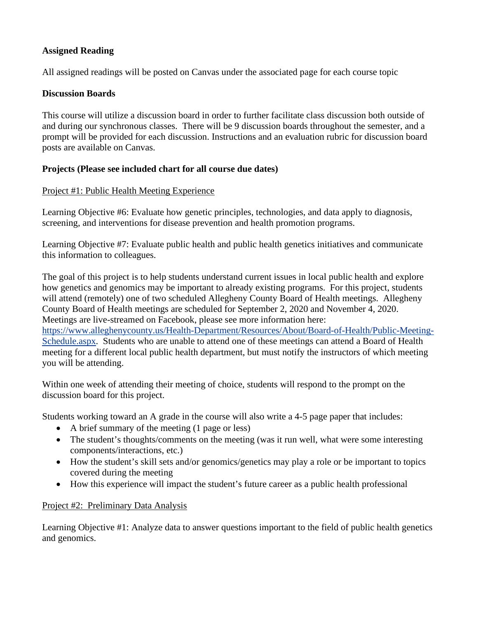# **Assigned Reading**

All assigned readings will be posted on Canvas under the associated page for each course topic

## **Discussion Boards**

This course will utilize a discussion board in order to further facilitate class discussion both outside of and during our synchronous classes. There will be 9 discussion boards throughout the semester, and a prompt will be provided for each discussion. Instructions and an evaluation rubric for discussion board posts are available on Canvas.

# **Projects (Please see included chart for all course due dates)**

## Project #1: Public Health Meeting Experience

Learning Objective #6: Evaluate how genetic principles, technologies, and data apply to diagnosis, screening, and interventions for disease prevention and health promotion programs.

Learning Objective #7: Evaluate public health and public health genetics initiatives and communicate this information to colleagues.

The goal of this project is to help students understand current issues in local public health and explore how genetics and genomics may be important to already existing programs. For this project, students will attend (remotely) one of two scheduled Allegheny County Board of Health meetings. Allegheny County Board of Health meetings are scheduled for September 2, 2020 and November 4, 2020. Meetings are live-streamed on Facebook, please see more information here:

[https://www.alleghenycounty.us/Health-Department/Resources/About/Board-of-Health/Public-Meeting-](https://www.alleghenycounty.us/Health-Department/Resources/About/Board-of-Health/Public-Meeting-Schedule.aspx)[Schedule.aspx.](https://www.alleghenycounty.us/Health-Department/Resources/About/Board-of-Health/Public-Meeting-Schedule.aspx) Students who are unable to attend one of these meetings can attend a Board of Health meeting for a different local public health department, but must notify the instructors of which meeting you will be attending.

Within one week of attending their meeting of choice, students will respond to the prompt on the discussion board for this project.

Students working toward an A grade in the course will also write a 4-5 page paper that includes:

- A brief summary of the meeting (1 page or less)
- The student's thoughts/comments on the meeting (was it run well, what were some interesting components/interactions, etc.)
- How the student's skill sets and/or genomics/genetics may play a role or be important to topics covered during the meeting
- How this experience will impact the student's future career as a public health professional

#### Project #2: Preliminary Data Analysis

Learning Objective #1: Analyze data to answer questions important to the field of public health genetics and genomics.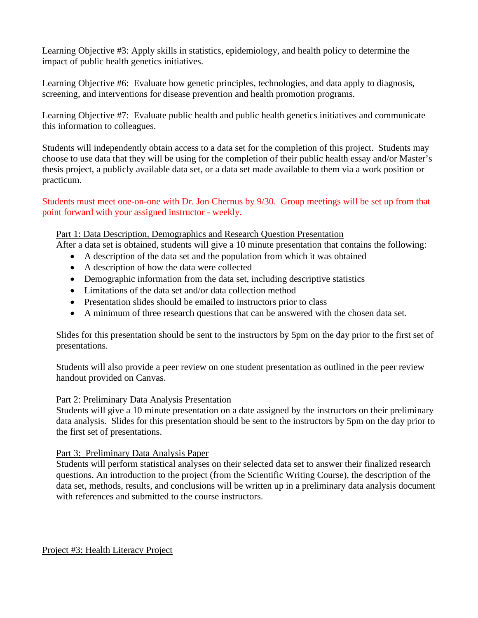Learning Objective #3: Apply skills in statistics, epidemiology, and health policy to determine the impact of public health genetics initiatives.

Learning Objective #6: Evaluate how genetic principles, technologies, and data apply to diagnosis, screening, and interventions for disease prevention and health promotion programs.

Learning Objective #7: Evaluate public health and public health genetics initiatives and communicate this information to colleagues.

Students will independently obtain access to a data set for the completion of this project. Students may choose to use data that they will be using for the completion of their public health essay and/or Master's thesis project, a publicly available data set, or a data set made available to them via a work position or practicum.

Students must meet one-on-one with Dr. Jon Chernus by 9/30. Group meetings will be set up from that point forward with your assigned instructor - weekly.

## Part 1: Data Description, Demographics and Research Question Presentation

After a data set is obtained, students will give a 10 minute presentation that contains the following:

- A description of the data set and the population from which it was obtained
- A description of how the data were collected
- Demographic information from the data set, including descriptive statistics
- Limitations of the data set and/or data collection method
- Presentation slides should be emailed to instructors prior to class
- A minimum of three research questions that can be answered with the chosen data set.

Slides for this presentation should be sent to the instructors by 5pm on the day prior to the first set of presentations.

Students will also provide a peer review on one student presentation as outlined in the peer review handout provided on Canvas.

#### Part 2: Preliminary Data Analysis Presentation

Students will give a 10 minute presentation on a date assigned by the instructors on their preliminary data analysis. Slides for this presentation should be sent to the instructors by 5pm on the day prior to the first set of presentations.

# Part 3: Preliminary Data Analysis Paper

Students will perform statistical analyses on their selected data set to answer their finalized research questions. An introduction to the project (from the Scientific Writing Course), the description of the data set, methods, results, and conclusions will be written up in a preliminary data analysis document with references and submitted to the course instructors.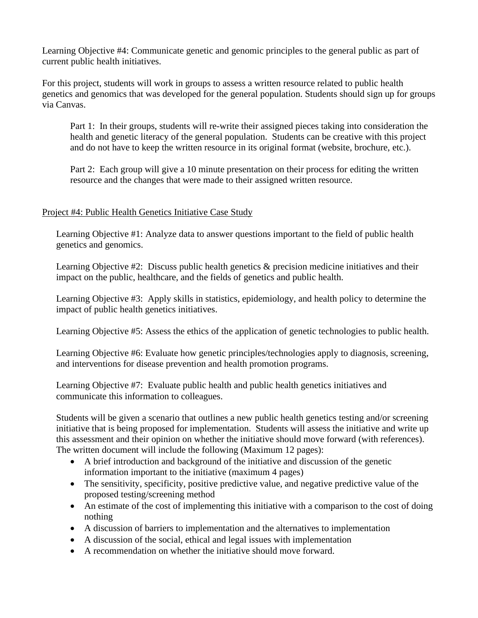Learning Objective #4: Communicate genetic and genomic principles to the general public as part of current public health initiatives.

For this project, students will work in groups to assess a written resource related to public health genetics and genomics that was developed for the general population. Students should sign up for groups via Canvas.

Part 1: In their groups, students will re-write their assigned pieces taking into consideration the health and genetic literacy of the general population. Students can be creative with this project and do not have to keep the written resource in its original format (website, brochure, etc.).

Part 2: Each group will give a 10 minute presentation on their process for editing the written resource and the changes that were made to their assigned written resource.

## Project #4: Public Health Genetics Initiative Case Study

Learning Objective #1: Analyze data to answer questions important to the field of public health genetics and genomics.

Learning Objective #2: Discuss public health genetics & precision medicine initiatives and their impact on the public, healthcare, and the fields of genetics and public health.

Learning Objective #3: Apply skills in statistics, epidemiology, and health policy to determine the impact of public health genetics initiatives.

Learning Objective #5: Assess the ethics of the application of genetic technologies to public health.

Learning Objective #6: Evaluate how genetic principles/technologies apply to diagnosis, screening, and interventions for disease prevention and health promotion programs.

Learning Objective #7: Evaluate public health and public health genetics initiatives and communicate this information to colleagues.

Students will be given a scenario that outlines a new public health genetics testing and/or screening initiative that is being proposed for implementation. Students will assess the initiative and write up this assessment and their opinion on whether the initiative should move forward (with references). The written document will include the following (Maximum 12 pages):

- A brief introduction and background of the initiative and discussion of the genetic information important to the initiative (maximum 4 pages)
- The sensitivity, specificity, positive predictive value, and negative predictive value of the proposed testing/screening method
- An estimate of the cost of implementing this initiative with a comparison to the cost of doing nothing
- A discussion of barriers to implementation and the alternatives to implementation
- A discussion of the social, ethical and legal issues with implementation
- A recommendation on whether the initiative should move forward.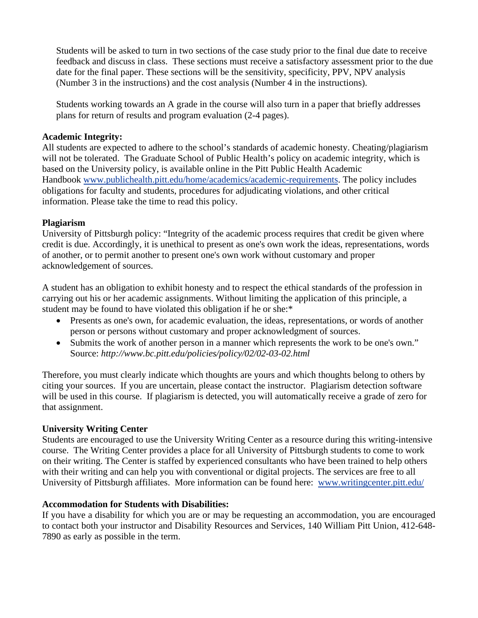Students will be asked to turn in two sections of the case study prior to the final due date to receive feedback and discuss in class. These sections must receive a satisfactory assessment prior to the due date for the final paper. These sections will be the sensitivity, specificity, PPV, NPV analysis (Number 3 in the instructions) and the cost analysis (Number 4 in the instructions).

Students working towards an A grade in the course will also turn in a paper that briefly addresses plans for return of results and program evaluation (2-4 pages).

#### **Academic Integrity:**

All students are expected to adhere to the school's standards of academic honesty. Cheating/plagiarism will not be tolerated. The Graduate School of Public Health's policy on academic integrity, which is based on the University policy, is available online in the Pitt Public Health Academic Handbook [www.publichealth.pitt.edu/home/academics/academic-requirements.](https://na01.safelinks.protection.outlook.com/?url=http%3A%2F%2Fwww.publichealth.pitt.edu%2Fhome%2Facademics%2Facademic-requirements&data=01%7C01%7CRobin.Leaf%40pitt.edu%7Cd2b682f8df1344a1488b08d5f7078713%7C9ef9f489e0a04eeb87cc3a526112fd0d%7C1&sdata=6ufA2nSlUetTPqxC3zE70WlE7mLMvNKznCNB7nQHwj0%3D&reserved=0) The policy includes obligations for faculty and students, procedures for adjudicating violations, and other critical information. Please take the time to read this policy.

# **Plagiarism**

University of Pittsburgh policy: "Integrity of the academic process requires that credit be given where credit is due. Accordingly, it is unethical to present as one's own work the ideas, representations, words of another, or to permit another to present one's own work without customary and proper acknowledgement of sources.

A student has an obligation to exhibit honesty and to respect the ethical standards of the profession in carrying out his or her academic assignments. Without limiting the application of this principle, a student may be found to have violated this obligation if he or she:\*

- Presents as one's own, for academic evaluation, the ideas, representations, or words of another person or persons without customary and proper acknowledgment of sources.
- Submits the work of another person in a manner which represents the work to be one's own." Source: *http://www.bc.pitt.edu/policies/policy/02/02-03-02.html*

Therefore, you must clearly indicate which thoughts are yours and which thoughts belong to others by citing your sources. If you are uncertain, please contact the instructor. Plagiarism detection software will be used in this course. If plagiarism is detected, you will automatically receive a grade of zero for that assignment.

# **University Writing Center**

Students are encouraged to use the University Writing Center as a resource during this writing-intensive course. The Writing Center provides a place for all University of Pittsburgh students to come to work on their writing. The Center is staffed by experienced consultants who have been trained to help others with their writing and can help you with conventional or digital projects. The services are free to all University of Pittsburgh affiliates. More information can be found here: [www.writingcenter.pitt.edu/](http://www.writingcenter.pitt.edu/)

# **Accommodation for Students with Disabilities:**

If you have a disability for which you are or may be requesting an accommodation, you are encouraged to contact both your instructor and Disability Resources and Services, 140 William Pitt Union, 412-648- 7890 as early as possible in the term.